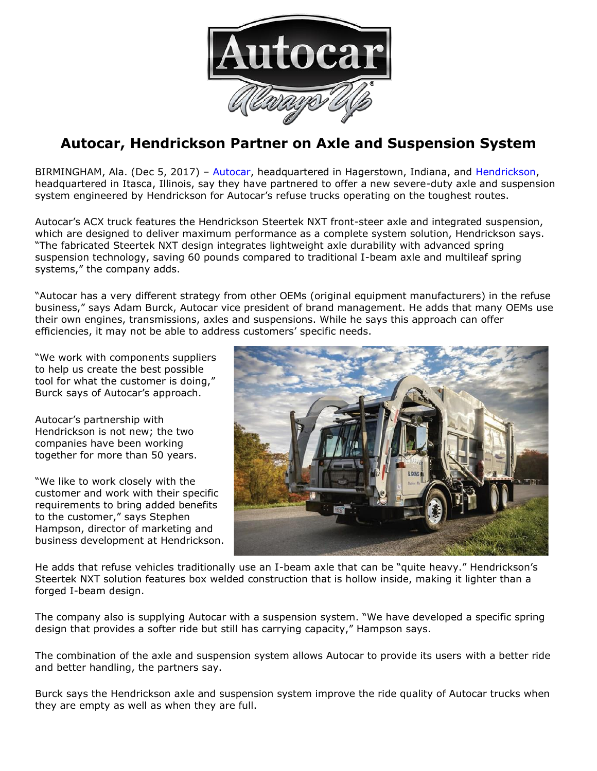

## **Autocar, Hendrickson Partner on Axle and Suspension System**

BIRMINGHAM, Ala. (Dec 5, 2017) – [Autocar,](http://www.autocartruck.com/) headquartered in Hagerstown, Indiana, and [Hendrickson,](https://www.hendrickson-intl.com/Home.aspx) headquartered in Itasca, Illinois, say they have partnered to offer a new severe-duty axle and suspension system engineered by Hendrickson for Autocar's refuse trucks operating on the toughest routes.

Autocar's ACX truck features the Hendrickson Steertek NXT front-steer axle and integrated suspension, which are designed to deliver maximum performance as a complete system solution, Hendrickson says. "The fabricated Steertek NXT design integrates lightweight axle durability with advanced spring suspension technology, saving 60 pounds compared to traditional I-beam axle and multileaf spring systems," the company adds.

"Autocar has a very different strategy from other OEMs (original equipment manufacturers) in the refuse business," says Adam Burck, Autocar vice president of brand management. He adds that many OEMs use their own engines, transmissions, axles and suspensions. While he says this approach can offer efficiencies, it may not be able to address customers' specific needs.

"We work with components suppliers to help us create the best possible tool for what the customer is doing," Burck says of Autocar's approach.

Autocar's partnership with Hendrickson is not new; the two companies have been working together for more than 50 years.

"We like to work closely with the customer and work with their specific requirements to bring added benefits to the customer," says Stephen Hampson, director of marketing and business development at Hendrickson.



He adds that refuse vehicles traditionally use an I-beam axle that can be "quite heavy." Hendrickson's Steertek NXT solution features box welded construction that is hollow inside, making it lighter than a forged I-beam design.

The company also is supplying Autocar with a suspension system. "We have developed a specific spring design that provides a softer ride but still has carrying capacity," Hampson says.

The combination of the axle and suspension system allows Autocar to provide its users with a better ride and better handling, the partners say.

Burck says the Hendrickson axle and suspension system improve the ride quality of Autocar trucks when they are empty as well as when they are full.